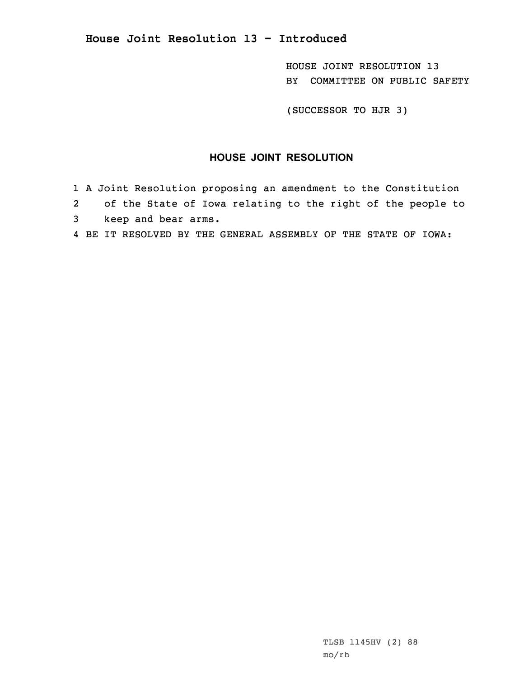**House Joint Resolution 13 - Introduced**

HOUSE JOINT RESOLUTION 13 BY COMMITTEE ON PUBLIC SAFETY

(SUCCESSOR TO HJR 3)

## **HOUSE JOINT RESOLUTION**

- 1 <sup>A</sup> Joint Resolution proposing an amendment to the Constitution
- 2 of the State of Iowa relating to the right of the people to
- 3 keep and bear arms.
- 4 BE IT RESOLVED BY THE GENERAL ASSEMBLY OF THE STATE OF IOWA: